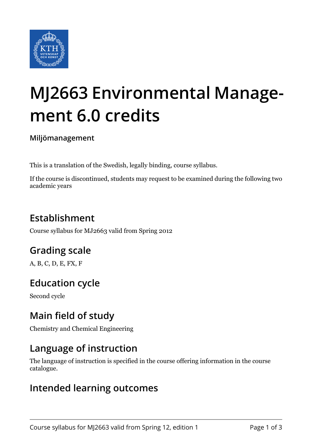

# **MJ2663 Environmental Management 6.0 credits**

**Miljömanagement**

This is a translation of the Swedish, legally binding, course syllabus.

If the course is discontinued, students may request to be examined during the following two academic years

## **Establishment**

Course syllabus for MJ2663 valid from Spring 2012

## **Grading scale**

A, B, C, D, E, FX, F

## **Education cycle**

Second cycle

## **Main field of study**

Chemistry and Chemical Engineering

#### **Language of instruction**

The language of instruction is specified in the course offering information in the course catalogue.

#### **Intended learning outcomes**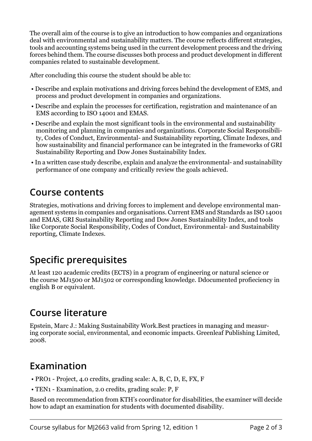The overall aim of the course is to give an introduction to how companies and organizations deal with environmental and sustainability matters. The course reflects different strategies, tools and accounting systems being used in the current development process and the driving forces behind them. The course discusses both process and product development in different companies related to sustainable development.

After concluding this course the student should be able to:

- Describe and explain motivations and driving forces behind the development of EMS, and process and product development in companies and organizations.
- Describe and explain the processes for certification, registration and maintenance of an EMS according to ISO 14001 and EMAS.
- Describe and explain the most significant tools in the environmental and sustainability monitoring and planning in companies and organizations. Corporate Social Responsibility, Codes of Conduct, Environmental- and Sustainability reporting, Climate Indexes, and how sustainability and financial performance can be integrated in the frameworks of GRI Sustainability Reporting and Dow Jones Sustainability Index.
- In a written case study describe, explain and analyze the environmental- and sustainability performance of one company and critically review the goals achieved.

#### **Course contents**

Strategies, motivations and driving forces to implement and develope environmental management systems in companies and organisations. Current EMS and Standards as ISO 14001 and EMAS, GRI Sustainability Reporting and Dow Jones Sustainability Index, and tools like Corporate Social Responsibility, Codes of Conduct, Environmental- and Sustainability reporting, Climate Indexes.

## **Specific prerequisites**

At least 120 academic credits (ECTS) in a program of engineering or natural science or the course MJ1500 or MJ1502 or corresponding knowledge. Ddocumented profieciency in english B or equivalent.

#### **Course literature**

Epstein, Marc J.: Making Sustainability Work.Best practices in managing and measuring corporate social, environmental, and economic impacts. Greenleaf Publishing Limited, 2008.

## **Examination**

- PRO1 Project, 4.0 credits, grading scale: A, B, C, D, E, FX, F
- TEN1 Examination, 2.0 credits, grading scale: P, F

Based on recommendation from KTH's coordinator for disabilities, the examiner will decide how to adapt an examination for students with documented disability.